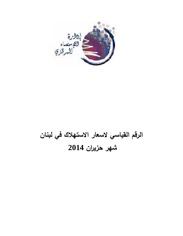

# **الرقم القياسي لاسعار الاستهلاك في لبنان شهر حزيران 2014**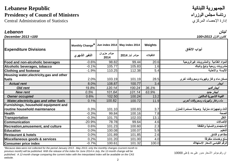## الجمهورية اللبنانية **Republic Lebanese Presidency of Council of Ministers**

Central Administration of Statistics المركزي الإحصاء إدارة

### لبنان *Lebanon* كانون الاول *2013=100 100= 2013 December*

| <b>Expenditure Divisions</b>                   | Monthly Change <sup>*</sup> |                     | Jun index 2014   May index 2014 | Weights   | أبواب الانفاق                             |
|------------------------------------------------|-----------------------------|---------------------|---------------------------------|-----------|-------------------------------------------|
|                                                | التغير الشهري               | مؤشر حزيران<br>2014 | مؤشر أيار 2014                  | التثقيلات |                                           |
| Food and non-alcoholic beverages               | $-0.6%$                     | 98.82               | 99.44                           | 20.6      | المواد الغذائية والمشروبات غيرالروحية     |
| Alcoholic beverages, tobacco                   | $-0.1%$                     | 105.77              | 105.83                          | 1.6       | مشروبات روحية وتبغ وتنباك                 |
| <b>Clothing and footwear</b>                   | $-1.9%$                     | 110.25              | 112.38                          | 5.4       | الألبسة والأحذية                          |
| Housing water, electricity, gas and other      |                             |                     |                                 |           |                                           |
| fuels                                          | 2.0%                        | 103.19              | 101.19                          | 28.5      | مسكن ماء وغاز وكهرباء ومحروقات أخرى       |
| <b>Actual rent</b>                             | 8.0%                        | 108.87              | 100.77                          | 3.4       | ايجار                                     |
| <b>Old rent</b>                                | 19.8%                       | 120.14              | 100.24                          | 36.1%     | ايجار قديم                                |
| <b>New rent</b>                                | 0.5%                        | 101.64              | 101.14                          | 63.9%     | ايجار جديد                                |
| <b>Owner occupied</b>                          | 0.6%                        | 102.50              | 100.24                          | 13.2      | القيمة التاجيرية للمالكين                 |
| <b>Water, electricity, gas and other fuels</b> | 0.1%                        | 100.82              | 100.72                          | 11.9      | ماء وغاز وكهرباء ومحروقات أخرى            |
| Furnishings, household equipment and           |                             |                     |                                 |           |                                           |
| routine household maintenance                  | 0.3%                        | 101.10              | 100.83                          | 3.7       | أثاث وتجهيزات منزلية وصيانة مستمرة للمنزل |
| <b>Health</b>                                  | $-0.3%$                     | 99.84               | 100.16                          | 7.8       | الصحة                                     |
| Transportation                                 | $-0.3%$                     | 101.75              | 102.03                          | 13.1      | النقل                                     |
| <b>Communication</b>                           | $-20.9%$                    | 78.78               | 99.64                           | 4.6       | الإتصالات                                 |
| Recreation, amusement, and culture             | 0.6%                        | 101.23              | 100.60                          | 2.3       | الإستجمام والتسلية والثقافة               |
| <b>Education</b>                               | 0.0%                        | 100.08              | 100.07                          | 5.9       | التعليم                                   |
| <b>Restaurant &amp; hotels</b>                 | 0.0%                        | 101.89              | 101.85                          | 2.6       | مطاعم و فنادق                             |
| Miscellaneous goods & services                 | 0.2%                        | 101.20              | 101.00                          | 4.0       | سلع وخدمات متفرقة                         |
| <b>Consumer price index</b>                    | $-0.7%$                     | 100.61              | 101.32                          | 100.0     | الرقم القياسي لأسعار الإستهلاك            |

*\*Because data were not collected for the period January 2013 - May 2013, only the monthly changes (current month to previous month) will be published. With the release of the index for June 2014 in July, the 12-month change will be publsihed. A 12-month change comparing the current index with the interpolated index will be available on the CAS website.*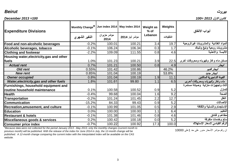## كانون الاول *2013 =100 100= 2013 December*

| <b>Expenditure Divisions</b>              | Jun index 2014   May index 2014<br>Monthly Change <sup>*</sup> | Weight as<br>$%$ of | Weights        | أبواب الانفاق |           |                                       |
|-------------------------------------------|----------------------------------------------------------------|---------------------|----------------|---------------|-----------|---------------------------------------|
|                                           | التغير الشهري                                                  | مؤشر حزيران<br>2014 | مؤشر أيار 2014 | Lebanon       | التثقيلات |                                       |
| Food and non-alcoholic beverages          | $-0.2%$                                                        | 100.01              | 100.21         | 3.4           | 19.7      | المواد الغذائية والمشروبات غيرالروحية |
| Alcoholic beverages, tobacco              | $-0.1%$                                                        | 106.24              | 106.34         | 0.3           | 1.7       | مشروبات روحية وتبغ وتنباك             |
| <b>Clothing and footwear</b>              | $-2.2%$                                                        | 109.09              | 111.55         | 0.8           | 4.6       | الألبسة والأحذية                      |
| Housing water, electricity, gas and other |                                                                |                     |                |               |           |                                       |
| fuels                                     | 1.0%                                                           | 101.23              | 100.21         | 3.9           | 22.5      | مسكن ماء وغاز وكهرباء ومحروقات أخرى   |
| <b>Actual rent</b>                        | 0.7%                                                           | 101.21              | 100.50         | 0.8           | 4.9       | ايجار                                 |
| <b>Old rent</b>                           | 0.55%                                                          | 101.42              | 100.86         |               | 46.2%     | ايجار قديم                            |
| <b>New rent</b>                           | 0.85%                                                          | 101.04              | 100.19         |               | 53.8%     | ايجار جديد                            |
| <b>Owner occupied</b>                     | 0.8%                                                           | 101.04              | 100.19         | 1.9           | 11.1      | القيمة التـاجيرية للمالكين            |
| Water, electricity, gas and other fuels   | 1.8%                                                           | 101.61              | 99.80          | 1.1           | 6.5       | ماء وغاز وكهرباء ومحروقات أخرى        |
| Furnishings, household equipment and      |                                                                |                     |                |               |           | أثاث وتجهيزات منزلية وصيانة مستمرة    |
| routine household maintenance             | 0.1%                                                           | 100.58              | 100.52         | 0.9           | 5.2       | للمنزل                                |
| <b>Health</b>                             | $-0.4%$                                                        | 99.68               | 100.04         | 1.6           | 9.2       | الصحة                                 |
| <b>Transportation</b>                     | $-0.2%$                                                        | 101.24              | 101.45         | 2.2           | 12.7      | النقل                                 |
| <b>Communication</b>                      | $-15.2%$                                                       | 84.33               | 99.43          | 0.9           | 5.2       | الإتصالات                             |
| <b>Recreation,amusement, and culture</b>  | $-0.1%$                                                        | 100.99              | 101.05         | 0.5           | 2.9       | الإستجمام والتسلية والثقافة           |
| Education                                 | 0.0%                                                           | 100.00              | 100.00         | 1.1           | 6.4       | التعليم                               |
| <b>Restaurant &amp; hotels</b>            | $-0.1%$                                                        | 101.38              | 101.46         | 0.8           | 4.6       | مطاعم و فنادق                         |
| Miscellaneous goods & services            | 0.2%                                                           | 100.42              | 100.18         | 0.0           | 5.2       | سلع وخدمات متفرقة                     |
| <b>Consumer price index</b>               | $-0.7%$                                                        | 100.22              | 100.92         | 17.3          | 100.0     | الرقم القياسي لأسعار الإستهلاك        |

*\*Because data were not collected for the period January 2013 - May 2013, only the monthly changes (current month to previous month) will be published. With the release of the index for June 2014 in July, the 12-month change will be publsihed. A 12-month change comparing the current index with the interpolated index will be available on the CAS website.*

ان رقم مؤشر الأسعار مدور على حد 1على 10000

بيروت *Beirut*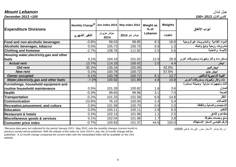# جبل لبنان *Lebanon Mount*

كانون الاول *2013 =100 100= 2013 December*

| <b>Expenditure Divisions</b>                   | Monthly Change*   Jun index 2014   May index 2014 |                     |                | <b>Weight as</b><br>$%$ of | Weights   | أبواب الانفاق                         |
|------------------------------------------------|---------------------------------------------------|---------------------|----------------|----------------------------|-----------|---------------------------------------|
|                                                | التغير الشهري                                     | مؤشر حزيران<br>2014 | مؤشر أيار 2014 | Lebanon                    | التثقيلات |                                       |
| Food and non-alcoholic beverages               | $-0.8%$                                           | 99.03               | 99.85          | 8.3                        | 18.6      | المواد الغذائية والمشروبات غيرالروحية |
| Alcoholic beverages, tobacco                   | 0.0%                                              | 105.73              | 105.75         | 0.6                        | 1.3       | مشروبات روحية وتبغ وتنباك             |
| <b>Clothing and footwear</b>                   | $-2.7%$                                           | 108.78              | 111.82         | 2.5                        | 5.6       | الألبسة والأحذية                      |
| Housing water, electricity, gas and other      |                                                   |                     |                |                            |           |                                       |
| fuels                                          | 3.1%                                              | 104.19              | 101.02         | 12.9                       | 28.9      | مسكن ماء وغاز وكهرباء ومحروقات أخرى   |
| <b>Actual rent</b>                             | 13.7%                                             | 114.18              | 100.42         | 2.0                        | 4.4       | ايجار                                 |
| <b>Old rent</b>                                | 35.2%                                             | 135.16              | 100.00         |                            | 42.5%     | ايجار قديم                            |
| <b>New rent</b>                                | 0.1%                                              | 100.78              | 100.72         |                            | 57.5%     | ايجار جديد                            |
| <b>Owner occupied</b>                          | 0.1%                                              | 100.78              | 100.72         | 6.1                        | 13.7      | القيمة التـاجيرية للمالكين            |
| <b>Water, electricity, gas and other fuels</b> | $-1.0%$                                           | 100.92              | 101.89         | 4.8                        | 10.8      | ماء وغاز وكهرباء ومحروقات أخرى        |
| Furnishings, household equipment and           |                                                   |                     |                |                            |           | أثاث وتجهيزات منزلية وصيانة مستمرة    |
| routine household maintenance                  | 0.5%                                              | 101.28              | 100.82         | 1.6                        | 3.6       | للمنزل                                |
| <b>Health</b>                                  | $-0.3%$                                           | 99.65               | 99.96          | 3.1                        | 7.0       | الصحة                                 |
| <b>Transportation</b>                          | $-0.2%$                                           | 101.33              | 101.58         | 6.6                        | 14.8      | النقل                                 |
| <b>Communication</b>                           | $-23.9%$                                          | 76.15               | 100.00         | 2.4                        | 5.4       | الإتصالات                             |
| <b>Recreation, amusement, and culture</b>      | 0.9%                                              | 101.58              | 100.70         | 0.9                        | 2.0       | الإستجمام والتسلية والثقافة           |
| <b>Education</b>                               | 0.0%                                              | 100.11              | 100.11         | 2.9                        | 6.5       | لتعليم                                |
| <b>Restaurant &amp; hotels</b>                 | 0.2%                                              | 102.13              | 101.96         | 1.1                        | 2.5       | مطاعم و فنادق                         |
| Miscellaneous goods & services                 | 0.1%                                              | 102.04              | 101.98         | 1.7                        | 3.8       | سلع وخدمات متفرقة                     |
| <b>Consumer price index</b>                    | $-0.7%$                                           | 100.62              | 101.37         | 44.6                       | 100.0     | الرقم القياسي لأسعار الإستهلاك        |

*\*Because data were not collected for the period January 2013 - May 2013, only the monthly changes (current month to previous month) will be published. With the release of the index for June 2014 in July, the 12-month change will be publsihed. A 12-month change comparing the current index with the interpolated index will be available on the CAS website.*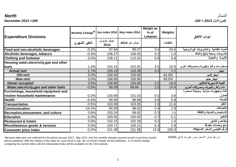|                                           |                 |                     |                                 | <b>Weight as</b> |           |                                       |
|-------------------------------------------|-----------------|---------------------|---------------------------------|------------------|-----------|---------------------------------------|
|                                           | Monthly Change* |                     | Jun index 2014   May index 2014 | $%$ of           | Weights   |                                       |
| <b>Expenditure Divisions</b>              |                 |                     |                                 | Lebanon          |           | أبواب الانفاق                         |
|                                           | التغير الشهري   | مؤشر حزيران<br>2014 | مؤشر أيار 2014                  |                  | التثقيلات |                                       |
| Food and non-alcoholic beverages          | $-0.2%$         | 97.84               | 98.07                           | 3.4              | 24.6      | المواد الغذائية والمشروبات غيرالروحية |
| Alcoholic beverages, tobacco              | $-0.3%$         | 106.27              | 106.63                          | 0.2              | 1.4       | مشروبات روحية وتبغ وتنباك             |
| <b>Clothing and footwear</b>              | $-2.0%$         | 108.11              | 110.31                          | 0.8              | 5.8       | الألبسة والأحذية                      |
| Housing water, electricity, gas and other |                 |                     |                                 |                  |           |                                       |
| fuels                                     | 1.4%            | 104.31              | 102.91                          | 4.5              | 32.6      | مسكن ماء وغاز وكهرباء ومحروقات أخرى   |
| <b>Actual rent</b>                        | 1.7%            | 105.19              | 103.38                          | 0.3              | 2.2       | ايجار                                 |
| Old rent                                  | 0.0%            | 100.00              | 100.00                          |                  | 41.0%     | ايجار قديم                            |
| <b>New rent</b>                           | 3.0%            | 108.95              | 105.80                          |                  | 59.0%     | ايجار جنيد                            |
| <b>Owner occupied</b>                     | 3.0%            | 108.95              | 105.80                          | 2.2              | 16.0      | القيمة التـاجيرية للمالكين            |
| Water, electricity, gas and other fuels   | $-0.5%$         | 99.09               | 99.64                           | 2.0              | 14.4      | ماء وغاز وكهرباء ومحروقات أخرى        |
| Furnishings, household equipment and      |                 |                     |                                 |                  |           | أثاث وتجهيزات منزلية وصيانة مستمرة    |
| routine household maintenance             | $-0.3%$         | 100.69              | 101.03                          | 0.5              | 3.6       | للمنزل                                |
| <b>Health</b>                             | $-0.4%$         | 99.56               | 99.99                           | 0.8              | 5.8       | الصحة                                 |
| Transportation                            | $-0.5%$         | 103.08              | 103.55                          | 1.6              | 11.6      | النقل                                 |
| <b>Communication</b>                      | $-14.2%$        | 84.59               | 98.62                           | 0.4              | 2.9       | الإتصالات                             |
| <b>Recreation,amusement, and culture</b>  | 0.6%            | 100.24              | 99.62                           | 0.3              | 2.2       | الإستجمام والتسلية والثقافة           |
| <b>Education</b>                          | 0.0%            | 100.00              | 100.00                          | 0.7              | 5.1       | التعليم                               |
| <b>Restaurant &amp; hotels</b>            | 0.0%            | 102.15              | 102.18                          | 0.2              | 1.4       | مطاعم و فنادق                         |
| Miscellaneous goods & services            | 0.5%            | 100.71              | 100.21                          | 0.4              | 2.9       | سلع وخدمات متفرقة                     |
| <b>Consumer price index</b>               | $-0.2%$         | 101.38              | 101.58                          | 13.8             | 100.0     | الرقم القياسي لأسعار الإستهلاك        |

*\*Because data were not collected for the period January 2013 - May 2013, only the monthly changes (current month to previous month) will be published. With the release of the index for June 2014 in July, the 12-month change will be publsihed. A 12-month change comparing the current index with the interpolated index will be available on the CAS website.*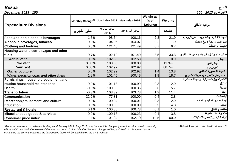البقاع *Bekaa* كانون الاول *2013 =100 100= 2013 December*

| <b>Expenditure Divisions</b>              | Monthly Change*   Jun index 2014   May index 2014 |                     |                | <b>Weight as</b><br>$%$ of<br>Lebanon | Weights   | أبواب الانفاق                         |
|-------------------------------------------|---------------------------------------------------|---------------------|----------------|---------------------------------------|-----------|---------------------------------------|
|                                           | التغير الشهري                                     | مؤشر حزيران<br>2014 | مؤشر أيار 2014 |                                       | التثقبلات |                                       |
| Food and non-alcoholic beverages          | $-1.5%$                                           | 98.64               | 100.16         | 2.3                                   | 21.9      | المواد الغذائية والمشروبات غيرالروحية |
| Alcoholic beverages, tobacco              | 0.0%                                              | 104.06              | 104.07         | 0.2                                   | 1.9       | مشروبات روحية وتبغ وتنباك             |
| <b>Clothing and footwear</b>              | 0.0%                                              | 121.45              | 121.49         | 0.7                                   | 6.7       | الألبسة والأحذية                      |
| Housing water, electricity, gas and other |                                                   |                     |                |                                       |           |                                       |
| fuels                                     | 0.7%                                              | 102.10              | 101.40         | 3.5                                   | 33.3      | مسكن ماء وغاز وكهرباء ومحروقات أخرى   |
| <b>Actual rent</b>                        | 0.0%                                              | 102.58              | 102.58         | 0.1                                   | 0.9       | ايجار                                 |
| <b>Old rent</b>                           | 0.00%                                             | 100.00              | 100.00         |                                       | 11.3%     | ايجار قديم                            |
| <b>New rent</b>                           | 0.00%                                             | 102.92              | 102.92         |                                       | 88.7%     | ايجار جنيد                            |
| <b>Owner occupied</b>                     | 0.0%                                              | 102.92              | 102.92         | 1.4                                   | 13.8      | القيمة التـاجيرية للمالكين            |
| Water, electricity, gas and other fuels   | 1.3%                                              | 101.45              | 100.18         | 1.9                                   | 18.7      | ماء وغاز وكهرباء ومحروقات أخرى        |
| Furnishings, household equipment and      |                                                   |                     |                |                                       |           | أثاث وتجهيزات منزلية وصيانة مستمرة    |
| routine household maintenance             | 0.2%                                              | 101.18              | 100.99         | 0.3                                   | 2.9       | للمنزل                                |
| <b>Health</b>                             | $-0.3%$                                           | 100.03              | 100.35         | 0.6                                   | 5.7       | الصحة                                 |
| <b>Transportation</b>                     | $-0.3%$                                           | 103.39              | 103.73         | 1.2                                   | 11.4      | النقل                                 |
| <b>Communication</b>                      | $-22.2%$                                          | 77.81               | 100.00         | 0.4                                   | 3.8       | الإتصالات                             |
| <b>Recreation, amusement, and culture</b> | 0.9%                                              | 100.94              | 100.01         | 0.3                                   | 2.9       | الإستجمام والتسلية والثقافة           |
| <b>Education</b>                          | 0.0%                                              | 100.00              | 100.00         | 0.5                                   | 4.8       | التعليم                               |
| <b>Restaurant &amp; hotels</b>            | 0.1%                                              | 100.80              | 100.73         | 0.1                                   | 1.0       | مطاعم و فنادق                         |
| Miscellaneous goods & services            | 0.0%                                              | 100.18              | 100.23         | 0.4                                   | 3.8       | سلع وخدمات متفرقة                     |
| <b>Consumer price index</b>               | $-1.1%$                                           | 101.04              | 102.19         | 10.5                                  | 100.0     | الرقم القياسي لأسعار الإستهلاك        |

*\*Because data were not collected for the period January 2013 - May 2013, only the monthly changes (current month to previous month) will be published. With the release of the index for June 2014 in July, the 12-month change will be publsihed. A 12-month change comparing the current index with the interpolated index will be available on the CAS website.*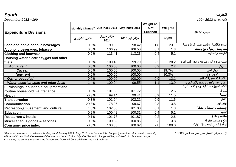| <b>Expenditure Divisions</b>                   | Monthly Change*   Jun index 2014   May index 2014 |                     |                | <b>Weight as</b><br>$%$ of<br>Lebanon | Weights   | أبواب الانفاق                         |
|------------------------------------------------|---------------------------------------------------|---------------------|----------------|---------------------------------------|-----------|---------------------------------------|
|                                                | التغير الشهري                                     | مؤشر حزيران<br>2014 | مؤشر أيار 2014 |                                       | التثقيلات |                                       |
| Food and non-alcoholic beverages               | 0.6%                                              | 99.00               | 98.42          | 1.8                                   | 23.1      | المواد الغذائية والمشروبات غيرالروحية |
| Alcoholic beverages, tobacco                   | 0.5%                                              | 106.99              | 106.50         | 0.1                                   | 1.3       | مشروبات روحية وتبغ وتنباك             |
| <b>Clothing and footwear</b>                   | 0.2%                                              | 113.41              | 113.23         | 0.4                                   | 5.1       | الألبسة والأحذية                      |
| Housing water, electricity, gas and other      |                                                   |                     |                |                                       |           |                                       |
| fuels                                          | 0.6%                                              | 100.43              | 99.79          | 2.2                                   | 28.2      | مسكن ماء وغاز وكهرباء ومحروقات أخرى   |
| <b>Actual rent</b>                             | 0.0%                                              | 100.00              | 100.00         | 0.2                                   | 2.2       |                                       |
| Old rent                                       | 0.0%                                              | 100.00              | 100.00         |                                       | 19.7%     | ايجار قديم                            |
| <b>New rent</b>                                | 0.0%                                              | 100.00              | 100.00         |                                       | 80.3%     | ايجار جديد                            |
| <b>Owner occupied</b>                          | 0.0%                                              | 100.00              | 100.00         | 0.9                                   | 12.1      | القيمة التـاجيرية للمالكين            |
| <b>Water, electricity, gas and other fuels</b> | 1.4%                                              | 100.94              | 99.55          | 1.1                                   | 13.9      | ماء وغاز وكهرباء ومحروقات أخرى        |
| Furnishings, household equipment and           |                                                   |                     |                |                                       |           | أثاث وتجهيزات منزلية وصيانة مستمرة    |
| routine household maintenance                  | 0.0%                                              | 101.69              | 101.72         | 0.2                                   | 2.6       | للمنزل                                |
| <b>Health</b>                                  | $-0.3%$                                           | 99.14               | 99.41          | 0.9                                   | 11.5      | الصحة                                 |
| <b>Transportation</b>                          | $-0.3%$                                           | 101.94              | 102.21         | 0.9                                   | 11.5      | النقل                                 |
| <b>Communication</b>                           | $-20.8%$                                          | 78.95               | 99.67          | 0.3                                   | 3.8       | الإتصالات                             |
| <b>Recreation, amusement, and culture</b>      | 1.5%                                              | 102.55              | 101.00         | 0.1                                   | 1.3       | الإستجمام والتسلية والثقافة           |
| <b>Education</b>                               | 0.2%                                              | 100.48              | 100.31         | 0.4                                   | 5.1       | التعليم                               |
| <b>Restaurant &amp; hotels</b>                 | $-0.1%$                                           | 101.78              | 101.87         | 0.2                                   | 2.6       | مطاعم و فنادق                         |
| Miscellaneous goods & services                 | 0.0%                                              | 100.82              | 100.85         | 0.3                                   | 3.8       | سلع وخدمات متفرقة                     |
| <b>Consumer price index</b>                    | $-0.6%$                                           | 100.03              | 100.62         | 7.8                                   | 100.0     | الرقم القياسي لأسعار الإستهلاك        |

كانون الاول *2013 =100 100= 2013 December*

*\*Because data were not collected for the period January 2013 - May 2013, only the monthly changes (current month to previous month)* 10000 على1 حد على مدور الأسعار مؤشر رقم ان *will be published. With the release of the index for June 2014 in July, the 12-month change will be publsihed. A 12-month change comparing the current index with the interpolated index will be available on the CAS website.*

الجنوب *South*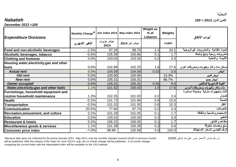### كانون الاول *2013 = 100 Nabatieh*

*December 2013 =100*

| <b>Expenditure Divisions</b>            | Monthly Change*   Jun index 2014   May index 2014 |                     |                | <b>Weight as</b><br>$%$ of<br>Lebanon | Weights   | أبواب الانفاق                         |
|-----------------------------------------|---------------------------------------------------|---------------------|----------------|---------------------------------------|-----------|---------------------------------------|
|                                         | التغير الشهري                                     | مؤشر حزيران<br>2014 | مؤشر أيار 2014 |                                       | التثقيلات |                                       |
| Food and non-alcoholic beverages        | $-1.5%$                                           | 97.26               | 98.70          | 1.4                                   | 24.1      | المواد الغذائية والمشروبات غيرالروحية |
| Alcoholic beverages, tobacco            | $-0.5%$                                           | 105.39              | 105.86         | 0.1                                   | 1.7       | مشروبات روحية وتبغ وتنباك             |
| <b>Clothing and footwear</b>            | 0.0%                                              | 103.03              | 103.00         | 0.2                                   | 3.4       | الألبسة والأحذية                      |
| Housing water,electricity,gas and other |                                                   |                     |                |                                       |           |                                       |
| fuels                                   | 0.6%                                              | 102.89              | 102.25         | 1.6                                   | 27.6      | مسكن ماء وغاز وكهرباء ومحروقات أخرى   |
| <b>Actual rent</b>                      | 0.0%                                              | 104.59              | 104.59         | 0.03                                  | 0.5       | ايجار                                 |
| Old rent                                | 0.0%                                              | 100.00              | 100.00         |                                       | 13.3%     | ايجار قديم                            |
| <b>New rent</b>                         | 0.0%                                              | 105.31              | 105.31         |                                       | 86.7%     | ايجار جديد                            |
| <b>Owner occupied</b>                   | 0.0%                                              | 105.31              | 105.31         | 0.55                                  | 9.5       | القيمة التـاجيرية للمالكين            |
| Water, electricity, gas and other fuels | 1.1%                                              | 101.52              | 100.43         | 1.0                                   | 17.6      | ماء وغاز وكهرباء ومحروقات أخرى        |
| Furnishings, household equipment and    |                                                   |                     |                |                                       |           | أثاث وتجهيزات منزلية وصيانة مستمرة    |
| routine household maintenance           | 1.3%                                              | 102.35              | 101.03         | 0.2                                   | 3.4       | للمنزل                                |
| <b>Health</b>                           | $-0.2%$                                           | 101.73              | 101.96         | 0.9                                   | 15.5      | الصحة                                 |
| <b>Transportation</b>                   | $-0.5%$                                           | 101.03              | 101.55         | 0.6                                   | 10.3      | النقل                                 |
| <b>Communication</b>                    | $-20.5%$                                          | 77.66               | 97.74          | 0.2                                   | 3.4       | الإتصالات                             |
| Recreation, amusement, and culture      | 0.2%                                              | 101.28              | 101.05         | 0.1                                   | 1.7       | الإستجمام والتسلية والثقافة           |
| <b>Education</b>                        | 0.0%                                              | 100.03              | 100.00         | 0.2                                   | 3.4       | التعليم                               |
| <b>Restaurant &amp; hotels</b>          | 0.2%                                              | 106.22              | 106.05         | 0.1                                   | 1.7       | مطاعم و فنادق                         |
| Miscellaneous goods & services          | 1.1%                                              | 101.38              | 100.28         | 0.2                                   | 3.4       | سلع وخدمات متفرقة                     |
| <b>Consumer price index</b>             | $-1.0%$                                           | 99.99               | 100.99         | 5.8                                   | 100.0     | الرقم القياسي لأسعار الإستهلاك        |

*\*Because data were not collected for the period January 2013 - May 2013, only the monthly changes (current month to previous month) will be published. With the release of the index for June 2014 in July, the 12-month change will be publsihed. A 12-month change comparing the current index with the interpolated index will be available on the CAS website.*

ان رقم مؤشر الأسعار مدور على حد 1على 10000

النبطية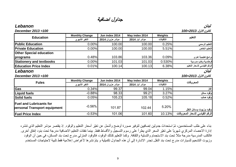9

### جداول اضافية

**Monthly Change Jun index 2014 May index 2014 Weights التثقيلات مؤشر أيار 2014 مؤشر حزيران 2014 التغير الشهري**

**التعليم Education**

#### لبنان *Lebanon*

| <b>Public Education</b>                                        | $0.00\%$              | 100.00           | 100.00         | 0.25%     | التعليم الرسمي               |
|----------------------------------------------------------------|-----------------------|------------------|----------------|-----------|------------------------------|
| <b>Private Education</b>                                       | 0.00%                 | 100.00           | 100.00         | 5.51%     | التعليم الخاص                |
| <b>Other Special education</b>                                 |                       |                  |                |           |                              |
| programs                                                       | 0.48%                 | 103.86           | 103.36         | 0.09%     | برامج تعليمية اخرى           |
| <b>Stationery and textbooks</b>                                | 0.00%                 | 101.03           | 101.03         | 0.530%    | قرطاسية وكتب مدرسية          |
| <b>Education Price Index</b>                                   | 0.01%                 | 100.14           | 100.13         | 6.38%     | الرقم القياسي لأسعار التعليم |
| Lebanon                                                        |                       |                  |                |           | لبنان                        |
| December 2013=100                                              |                       |                  |                |           | كانون الاول 2013=100         |
| <b>Fules</b>                                                   | <b>Monthly Change</b> | Jun index 2014   | May index 2014 | Weights   | المحروقات                    |
|                                                                | التغير الشهري         | مؤشر حزيران 2014 | مؤشر أيار 2014 | التثقيلات |                              |
|                                                                |                       |                  | 99.04          | 1.15%     | 'غاز                         |
|                                                                | 0.34%                 | 99.37            |                |           |                              |
|                                                                | $-0.88%$              | 98.33            | 99.21          | 3.27%     | وقود سائل                    |
| Gas<br><b>Liquid fuels</b><br><b>Solid fuels</b>               | 0.05%                 | 105.23           | 105.18         | 0.52%     | اوقود صلب                    |
| <b>Fuel and Lubricants for</b><br>personal Transport equipment | $-0.56%$              | 101.87           | 102.44         | 5.20%     | وفقود وزيوت وسائل النقل      |

بناء على طلب المستخدمين، تمّ استحداث جدولين إضافيين لتوفير صورة أوضح وأشمل عن تغيّر أسعار التعليم والوقود. إذ يقتصر مؤشر التعليم الذي تنشره إدارة الاحصاء المركزي شهرياً على تغيّر السعر الذي يطرأ على رسوم التسجيل والأقساط فقط. بينما نفقات التعليم الاضافية مدرجة تحت بنود إنفاق أخرى. فالكتب المدرسية مدرجة مثلاً تحت بند الاستجمام والتسلية والثقافة. وكما التعليم كذلك الوقود، فالوقود المنزلي مدرج تحت بند المسكن، في حين أن الوقود وزيوت التشحيم للسيارات مدرج تحت بند النقل.تجدر الاشارة إلى أن هذه الجداول تكميلية و يتمّ نشرها لأغراض إعلامية فقط تلبية لاحتياجات المستخدم

### كانون الاول *2013=100 100= 2013 December*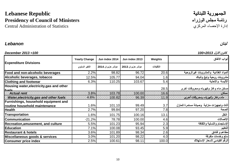## الجمهورية اللبنانية<br>رئاسة مجلس الوزراء<br>مرئاسة مجلس الوزراء **Presidency of Council of Ministers** الوزراء مجلس رئاسة

Central Administration of Statistics

### لبنان *Lebanon*

#### كانون الاول *2013=100 100= 2013 December*

|                                                                                                                     | <b>Yearly Change</b> | Jun index 2014   | Jun index 2013   | Weights   | أبواب الانفاق                              |
|---------------------------------------------------------------------------------------------------------------------|----------------------|------------------|------------------|-----------|--------------------------------------------|
| <b>Expenditure Divisions</b>                                                                                        | التغير السنوى        | مؤشر حزيران 2014 | مؤشر حزيران 2013 | التثقيلات |                                            |
| Food and non-alcoholic beverages                                                                                    | 2.2%                 | 98.82            | 96.72            | 20.6      | المواد الغذائية والمشروبات غيرالروحية      |
| Alcoholic beverages, tobacco                                                                                        | 12.5%                | 105.77           | 94.04            | 1.6       | مشروبات روحية وتبغ وتنباك                  |
| <b>Clothing and footwear</b>                                                                                        | 6.3%                 | 110.25           | 103.67           | 5.4       | الألبسة والأحذية                           |
| Housing water, electricity, gas and other<br>علمسا                                                                  |                      |                  |                  | 28.5      | مسكن ماء وغاز وكهرباء ومحروقات أخرى        |
| مسكن المسلم العربي العربي العربي العربي العربي العربي العربي العربي العربي العربي العربي العربي العربي العربي العرب |                      |                  |                  |           |                                            |
|                                                                                                                     |                      |                  |                  |           |                                            |
| Furnishings, household equipment and                                                                                |                      |                  |                  |           |                                            |
| routine household maintenance                                                                                       | 1.6%                 | 101.10           | 99.49            | 3.7       | أثاث وتجهيزات منزلية  وصيانة مستمرة للمنزل |
| <b>Health</b>                                                                                                       | 2.7%                 | 99.84            | 97.20            | 7.8       | الصحة                                      |
| <b>Transportation</b>                                                                                               | 1.6%                 | 101.75           | 100.16           | 13.1      | النقل                                      |
| <b>Communication</b>                                                                                                | $-21.2%$             | 78.78            | 100.00           | 4.6       | الإتصالات                                  |
| Recreation, amusement, and culture                                                                                  | 5.5%                 | 101.23           | 95.94            | 2.3       | الإستجمام والتسلية والثقافة                |
| <b>Education</b>                                                                                                    | 7.1%                 | 100.08           | 93.45            | 5.9       | التعليم                                    |
| <b>Restaurant &amp; hotels</b>                                                                                      | 3.6%                 | 101.89           | 98.34            | 2.6       | مطاعم و فنادق                              |
| Miscellaneous goods & services                                                                                      | 3.0%                 | 101.20           | 98.22            | 4.0       | سلع وخدمات متفرقة                          |
| <b>Consumer price index</b>                                                                                         | 2.5%                 | 100.61           | 98.11            | 100.0     | الرقم القياسي لأسعار الإستهلاك             |
|                                                                                                                     |                      |                  |                  |           |                                            |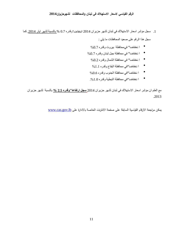#### **الرقم القياسي لاسعار الاستهلاك في لبنان والمحافظات لشهرحزيران2014**

- 1. سجل مؤشر اسعار الاستهلاك في لبنان لشهر حزيران 2014 انخفاضا"وقدره 0.7% *<sup>U</sup>* بالنسبة لشهر ايار *<sup>U</sup>* ,2014 كما سجل هذا الرقم على صعيد المحافظات ما يلي :
	- ا نخفاضا" فيمحافظة بیروت وقدره %0.7
	- ا نخفاضا" في محافظة جبل لبنان وقدره %0.7
		- ا نخفاضا" في محافظة الشمال وقدره %0.2
			- ا نخفاضا"في محافظة البقاع وقدره %1.1
		- ا نخفاضا"في محافظة الجنوب وقدره %0.6
		- ا نخفاضا"في محافظة النبطیة وقدره .%1.0

مع العلم ان مؤشر اسعار الاستهلاك في لبنان لشهر حزيران *<sup>U</sup>* 2014 **سجل ارتفاعا"وقدره 2.5** *<sup>U</sup>* **%** بالنسبة لشهر حزيران 2013.

*T0U* يمكن مراجعة الارقام القياسية السابقة على صفحة الانترنت الخاصة بالادارة على[lb.gov.cas.](http://www.cas.gov.lb/)*TU*www*<sup>0</sup>*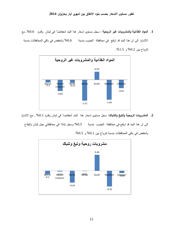**.1 المواد الغذائية والمشروبات غير الروحية** : سجل مستوى اسعار هذا البند انخفاضا" في لبنان وقدره ,%0.6 مع الاشارة الى ان هذا البند قد ارتفع في محافظة الجنوب بنسبة %0.6 وانخفض في باقي المحافظات بنسبة تترواح بين %0.2 و .%1.5



**.2 المشروبات الروحية والتبغ والتنباك:** سجل مستوى اسعار هذا البند انخفاضا" في لبنان وقدره %0.1 , مع الاشارة الى ان هذا البند قد ارتفع في محافظة الجنوب بنسبة %0.5 وسجل ثباتا" في محافظتي جبل لبنان والبقاع



وانخفض في باقي المحافظات بنسبة تترواح بين 0.1% و 0.5%.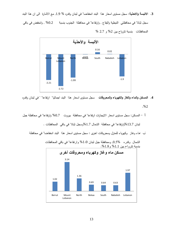**.3 الالبسة والاحذية:** سجل مستوى اسعار هذا البند انخفاضا" في لبنان وقدره % ,1.9 مع الاشارة الى ان هذا البند سجل ثباتا" في محافظتي النبطية والبقاع , وارتفاعا" في محافظة الجنوب بنسبة %0.2 , وانخفض في باقي المحافظات بنسبة تترواح بين %2 و 2.7 %



- **.4 المسكن والماء والغاز والكهرباء والمحروقات** سجل مستوى اسعار هذا البند اجماليا" ارتفاعا" " في لبنان وقدره .%2
- أ المسكن: سجل مستوى اسعار الايجارات ارتفاعا" في محافظة بيروت %0.7 وارتفاعا" في محافظة جبل

لبنان %13.7وارتفاعا" في محافظة الشمال %1.7وسجل ثباتا" في باقي المحافظات .

ب -ماء وغاز وكهرباء للمنزل ومحروقات اخرى : سجل مستوى اسعار هذا البند انخفاضا" في محافظة



الشمال وقدره ,0.5% ومحافظة جبل لبنان %1.0 وارتفاعا" في باقي المحافظات بنسبة تترواح بین %1.1 و.%1.8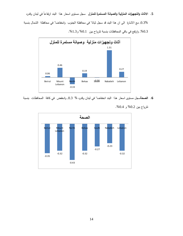5. الاثاث والتجهيزات المنزلية والصيانة المستمرة للمنزل سجل مستوى اسعار هذا البند ارتفاعاً في لبنان وقدره

,0.3% مع الاشارة الى ان هذا البند قد سجل ثباتا" في محافظة الجنوب وانخفاضا" في محافظة الشمال بنسبة ,%0.3 وارتفع في باقي المحافظات بنسبة تترواح بين %0.1 و.%1.3



- **.6 الصحة**سجل مستوى اسعار هذا البند انخفاضا" في لبنان وقدره % ,0.3 وانخفض في كافة المحافظات بنسبة
	- -0.35 -0.32 -0.43 -0.32 -0.27 -0.23 -0.32 Beirut Mount Lebanon North Bekaa South Nabatieh Lebanon **الصحة**
- تترواح بين %0.2 و .%0.4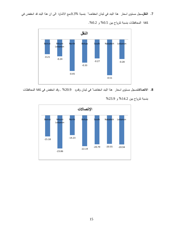**.7 النقل**سجل مستوى اسعار هذا البند في لبنان انخفاضا" بنسبة ,0.3%مع الاشارة الى ان هذا البند قد انخفض في



كافة المحافظات بنسبة تترواح بين %0.5 و .%0.2

**.8 الاتصالات**سجل مستوى اسعار هذا البند انخفاضا" في لبنان وقدره %20.9 , وقد انخفض في كافة المحافظات



بنسبة تترواح بين %14.2 و %23.9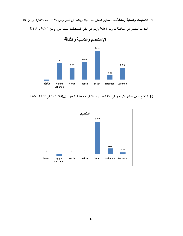9. الا**ستجمام والتسلية والثقافة**سجل مستوى اسعار هذا البند ارتفاعاً في لبنان وقدره %0.6, مع الاشارة ال<sub>ى</sub> ان هذا



البند قد انخفض في محافظة بيروت %0.1 وارتفع في باقي المحافظات بنسبة تترواح بين %0.2 و %1.5

**<sup>.</sup>10 التعليم** سجل مستوى الأسعار في هذا البند ارتفاعا" في محافظة الجنوب %0.2 وثباتا" في كافة المحافظات .

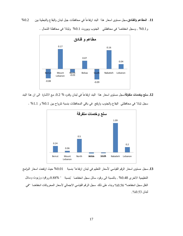

ً في محافظات جبل لبنان والبقاع والنبطية بين %0.2 **.11 المطاعم والفنادق**سجل مستوى اسعار هذا البند ارتفاعا

و%0.1 , وسجل انخفاضا" في محافظتي الجنوب وبيروت %0.1 وثباتا" في محافظة الشمال .

12. **سلع وخدمات متفرقة**سجل مستوى اسعار هذا البند ارتفاعاً في لبنان وقدره % 0.2, مع الاشارة المي ان هذا البند



سجل ثباتا" في محافظتي البقاع والجنوب وارتفع في باقي المحافظات بنسبة تترواح بين %0.1 و %1.1 .

**13.** سجل مستوى اسعار الرقم القياسي لأسعار التعليم في لبنان ارتفاعا" بنسبة %0.01 حيث ارتفعت اسعار البرامج

التعلیمیة الاخرى %0.48 , بالنسبة الى وقود سائل سجل انخفاضا "بنسبة " 0.88% ووقود وزیوت وسائل النقل سجل انخفاضا" %0.56 وبناء على ذلك سجل الرقم القیاسي الاجمالي لأسعار المحروقات انخفاضا "في لبنان .%0.53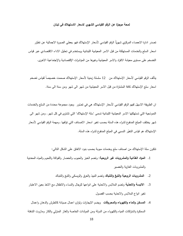#### **لمحة موجزة عن الرقم القياسي الشهري لاسعار الاستهلاك في لبنان**

تصدر ادارة الاحصاء المركزي شهريًا الرقم القياسي لأسعار الإستهلاك فهو يعطي الصورة الاجمالية عن تطوّر اسعار السلع والخدمات المستهلكة من قبل الاسر المعيشية اللبنانية ويستخدم في تحليل الاداء الاقتصادي عبر قياس التضخم على مستوى معيشة الافراد والاسر المعيشية وغيرها من المؤشرات الإقتصادية والإجتماعية الاخرى.

يتألف الرقم القياسي لأسعار الإستهلاك من  $1$  سلسلة زمنية لأسعار الإستهلاك صممت خصيصاً لقياس تضخم اسعار سلع الإستهلاك كافة المشتراة من قبل الاسر المعيشية من شهر الى شهر ومن سنة الى سنة.

ان الطريقة الاسهل لفهم الرقم القياسي لأسعار الإستهلاك هي في تصّور وجود مجموعة محددة من السلع والخدمات النموذجية التي تستهلكها الاسر المعيشية اللبنانية تسمى "سلة الإستهلاك" التي تشترى في كل شهر. ومن شهر الى شهر يختلف المبلغ المدفوع لشراء هذه السلة بحسب تغير اسعار الاصناف التي تؤلفها. ومهمة الرقم القياسي لأسعار الإستهلاك هو قياس التغيّر النسبي في المبلغ المدفوع لشراء هذه السلة.

تتكون سلة الإستهلاك من اصناف سلع وخدمات مبوبة بحسب بنود الانفاق على الشكل التالي:

- .1 **المواد الغذائية والمشروبات غير الروحية**: وتضم الخبز والحبوب والخضار والفواكة واللحوم والمياه المعدنية والمشروبات الغازية والعصير
	- .2 **المشروبات الروحية والتبغ والتنباك** وتضم النبيذ والعرق والويسكي والتبغ والتنباك
- .3 **الالبسة والاحذية** وتضم الملابس والاحذية على انواعها للرجال والنساء والاطفال مع الاخذ بعين الاعتبار تغير انواع الملابس والاحذية بحسب الفصول
- .4 **المسكن والماء والكهرباء والمحروقات** ويضم الايجارات ولوازم اعمال صيانة كالطرش والدهان واعمال السمكرة واشتراكات المياه والكهرباء من الدولة ومن المولدات الخاصة والغاز المنزلي والكاز ومازوت التدفئة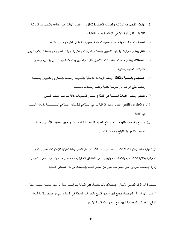- .5 **الاثاث والتجهيزات المنزلية والصيانة المستمرة للمنزل** وتضم الاثاث على انواعه والتجهيزات المنزلية كالادوات الكهربائية والاواني الزجاجية ومواد التنظيف
	- .6 **الصحة** وتضم الدواء والخدمات الطبية كمعاينة الطبيب والتحاليل الطبية وصور الاشعة
- .7 **النقل** ويضم السيارات والوقود كالبنزين واصلاح السيارات والنقل بالسيارات العمومية والباصات والنقل الجوي
	- .8 **الاتصالات** وتضم خدمات الاتصالات كالتلفون الثابث والخلوي وخدمات البريد العادي والسريع واسعار التلفونات العادية والخلوية
	- .9 **الاستجمام والتسلية والثقافة** وتضم الرحلات الداخلية والخارجية والسينما والمسارح والكمبيوتر ومتمماته والكتب على انواعها من مدرسية وادبية وعلمية ومجلات وصحف.
		- .10 **التعليم** وتضم الاقساط التعليمية في القطاع الخاص للمستويات كافة بما فيها التعليم المهني
- .11 **، المطاعم والفنادق** وتضم أسعار المأكولات في المطاعم كالسناك والمطاعم المتخصصة وأسعار المبيت في الفنادق
	- .12 ، **سلع وخدمات متفرقة** وتضم سلع العناية الشخصية كالعطورات ومعجون تنظيف الأسنان وخدمات تصفيف الشعر والماكياج وخدمات التأمين.

ان شمولية سلة الإستهلاك لا تقتصر فقط على عدد الأصناف بل نشمل أيضا تمثيلها للإستهلاك الفعلي للأسر المعيشية بفئاتها الإقتصادية والإجتماعية وتوزعها على المناطق الجغرافية كافة على حد سواء. لهذا السبب تحرص إدارة الإحصاء المركزي على جمع عدد كبير من أسعار السلع والخدمات من كل المناطق اللبنانية.

نتطلب قراءة الرقم القياسي لأسعار الإستهلاك تأنيا خاصـا. ففي البداية يتم إختيار سنة أو شهر معينين يسميان سنة أو شهر الأساس أو المرجعية، تجمع فيها أسعار السلع والخدمات الداخلة في السلة و تتم من بعدها مقارنة أسعار السلع والخدمات المجموعة شهريا مع أسعار هذه السلة الأساس.